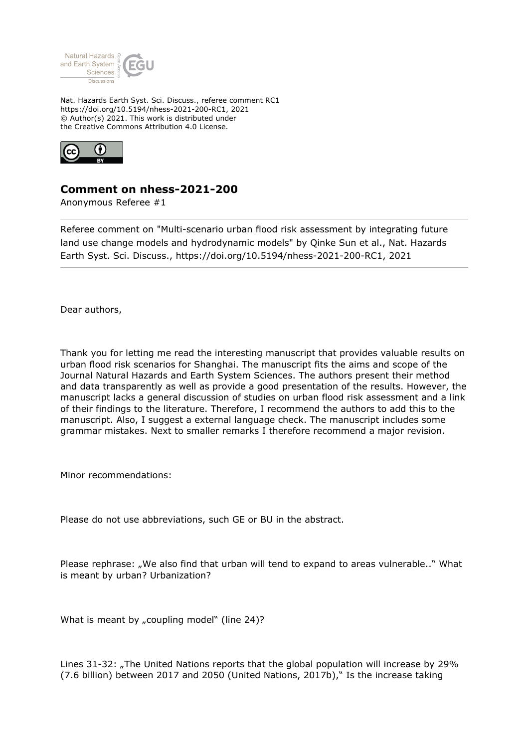

Nat. Hazards Earth Syst. Sci. Discuss., referee comment RC1 https://doi.org/10.5194/nhess-2021-200-RC1, 2021 © Author(s) 2021. This work is distributed under the Creative Commons Attribution 4.0 License.



## **Comment on nhess-2021-200**

Anonymous Referee #1

Referee comment on "Multi-scenario urban flood risk assessment by integrating future land use change models and hydrodynamic models" by Qinke Sun et al., Nat. Hazards Earth Syst. Sci. Discuss., https://doi.org/10.5194/nhess-2021-200-RC1, 2021

Dear authors,

Thank you for letting me read the interesting manuscript that provides valuable results on urban flood risk scenarios for Shanghai. The manuscript fits the aims and scope of the Journal Natural Hazards and Earth System Sciences. The authors present their method and data transparently as well as provide a good presentation of the results. However, the manuscript lacks a general discussion of studies on urban flood risk assessment and a link of their findings to the literature. Therefore, I recommend the authors to add this to the manuscript. Also, I suggest a external language check. The manuscript includes some grammar mistakes. Next to smaller remarks I therefore recommend a major revision.

Minor recommendations:

Please do not use abbreviations, such GE or BU in the abstract.

Please rephrase: "We also find that urban will tend to expand to areas vulnerable.." What is meant by urban? Urbanization?

What is meant by "coupling model" (line  $24$ )?

Lines 31-32: "The United Nations reports that the global population will increase by 29% (7.6 billion) between 2017 and 2050 (United Nations, 2017b)," Is the increase taking